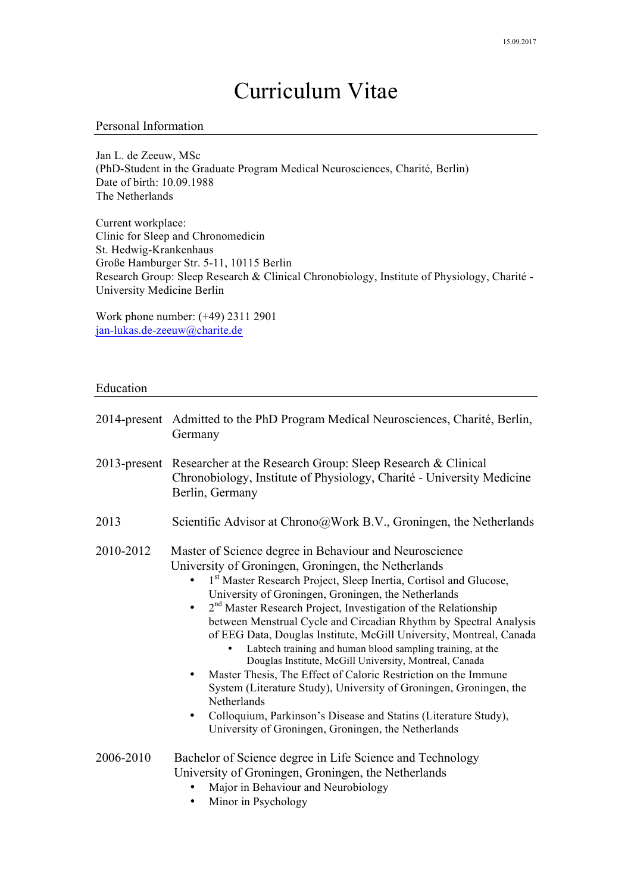# Curriculum Vitae

## Personal Information

Jan L. de Zeeuw, MSc (PhD-Student in the Graduate Program Medical Neurosciences, Charité, Berlin) Date of birth: 10.09.1988 The Netherlands

Current workplace: Clinic for Sleep and Chronomedicin St. Hedwig-Krankenhaus Große Hamburger Str. 5-11, 10115 Berlin Research Group: Sleep Research & Clinical Chronobiology, Institute of Physiology, Charité - University Medicine Berlin

Work phone number: (+49) 2311 2901 jan-lukas.de-zeeuw@charite.de

## Education

|                 | 2014-present Admitted to the PhD Program Medical Neurosciences, Charité, Berlin,<br>Germany                                                                                                                                                                                                                                                                                                                                                                                                                                                                                                                                                                                                                                                                                                                                                                                               |
|-----------------|-------------------------------------------------------------------------------------------------------------------------------------------------------------------------------------------------------------------------------------------------------------------------------------------------------------------------------------------------------------------------------------------------------------------------------------------------------------------------------------------------------------------------------------------------------------------------------------------------------------------------------------------------------------------------------------------------------------------------------------------------------------------------------------------------------------------------------------------------------------------------------------------|
| $2013$ -present | Researcher at the Research Group: Sleep Research & Clinical<br>Chronobiology, Institute of Physiology, Charité - University Medicine<br>Berlin, Germany                                                                                                                                                                                                                                                                                                                                                                                                                                                                                                                                                                                                                                                                                                                                   |
| 2013            | Scientific Advisor at Chrono@Work B.V., Groningen, the Netherlands                                                                                                                                                                                                                                                                                                                                                                                                                                                                                                                                                                                                                                                                                                                                                                                                                        |
| 2010-2012       | Master of Science degree in Behaviour and Neuroscience<br>University of Groningen, Groningen, the Netherlands<br>1st Master Research Project, Sleep Inertia, Cortisol and Glucose,<br>University of Groningen, Groningen, the Netherlands<br>$2nd$ Master Research Project, Investigation of the Relationship<br>$\bullet$<br>between Menstrual Cycle and Circadian Rhythm by Spectral Analysis<br>of EEG Data, Douglas Institute, McGill University, Montreal, Canada<br>Labtech training and human blood sampling training, at the<br>Douglas Institute, McGill University, Montreal, Canada<br>Master Thesis, The Effect of Caloric Restriction on the Immune<br>٠<br>System (Literature Study), University of Groningen, Groningen, the<br>Netherlands<br>Colloquium, Parkinson's Disease and Statins (Literature Study),<br>٠<br>University of Groningen, Groningen, the Netherlands |
| 2006-2010       | Bachelor of Science degree in Life Science and Technology<br>University of Groningen, Groningen, the Netherlands<br>Major in Behaviour and Neurobiology<br>$\bullet$ Minor in Psychology                                                                                                                                                                                                                                                                                                                                                                                                                                                                                                                                                                                                                                                                                                  |

• Minor in Psychology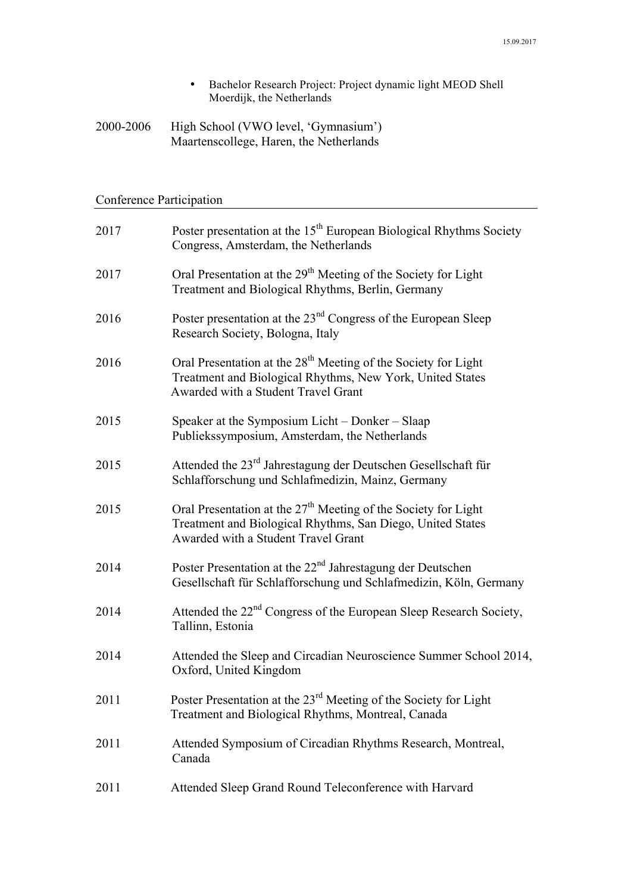- Bachelor Research Project: Project dynamic light MEOD Shell Moerdijk, the Netherlands
- 2000-2006 High School (VWO level, 'Gymnasium') Maartenscollege, Haren, the Netherlands

## Conference Participation

| 2017 | Poster presentation at the 15 <sup>th</sup> European Biological Rhythms Society<br>Congress, Amsterdam, the Netherlands                                                        |
|------|--------------------------------------------------------------------------------------------------------------------------------------------------------------------------------|
| 2017 | Oral Presentation at the 29 <sup>th</sup> Meeting of the Society for Light<br>Treatment and Biological Rhythms, Berlin, Germany                                                |
| 2016 | Poster presentation at the 23 <sup>nd</sup> Congress of the European Sleep<br>Research Society, Bologna, Italy                                                                 |
| 2016 | Oral Presentation at the 28 <sup>th</sup> Meeting of the Society for Light<br>Treatment and Biological Rhythms, New York, United States<br>Awarded with a Student Travel Grant |
| 2015 | Speaker at the Symposium Licht – Donker – Slaap<br>Publiekssymposium, Amsterdam, the Netherlands                                                                               |
| 2015 | Attended the 23 <sup>rd</sup> Jahrestagung der Deutschen Gesellschaft für<br>Schlafforschung und Schlafmedizin, Mainz, Germany                                                 |
| 2015 | Oral Presentation at the $27th$ Meeting of the Society for Light<br>Treatment and Biological Rhythms, San Diego, United States<br>Awarded with a Student Travel Grant          |
| 2014 | Poster Presentation at the $22nd$ Jahrestagung der Deutschen<br>Gesellschaft für Schlafforschung und Schlafmedizin, Köln, Germany                                              |
| 2014 | Attended the 22 <sup>nd</sup> Congress of the European Sleep Research Society,<br>Tallinn, Estonia                                                                             |
| 2014 | Attended the Sleep and Circadian Neuroscience Summer School 2014,<br>Oxford, United Kingdom                                                                                    |
| 2011 | Poster Presentation at the 23 <sup>rd</sup> Meeting of the Society for Light<br>Treatment and Biological Rhythms, Montreal, Canada                                             |
| 2011 | Attended Symposium of Circadian Rhythms Research, Montreal,<br>Canada                                                                                                          |
| 2011 | Attended Sleep Grand Round Teleconference with Harvard                                                                                                                         |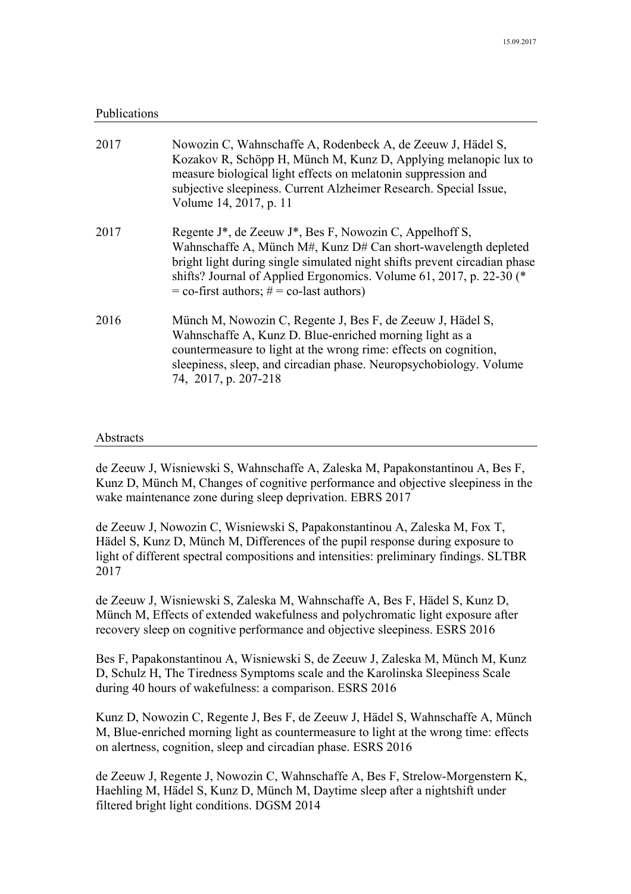## Publications

| 2017 | Nowozin C, Wahnschaffe A, Rodenbeck A, de Zeeuw J, Hädel S,<br>Kozakov R, Schöpp H, Münch M, Kunz D, Applying melanopic lux to<br>measure biological light effects on melatonin suppression and<br>subjective sleepiness. Current Alzheimer Research. Special Issue,<br>Volume 14, 2017, p. 11                                                          |
|------|---------------------------------------------------------------------------------------------------------------------------------------------------------------------------------------------------------------------------------------------------------------------------------------------------------------------------------------------------------|
| 2017 | Regente J <sup>*</sup> , de Zeeuw J <sup>*</sup> , Bes F, Nowozin C, Appelhoff S,<br>Wahnschaffe A, Münch M#, Kunz D# Can short-wavelength depleted<br>bright light during single simulated night shifts prevent circadian phase<br>shifts? Journal of Applied Ergonomics. Volume 61, 2017, p. 22-30 (*<br>$=$ co-first authors; $# =$ co-last authors) |
| 2016 | Münch M, Nowozin C, Regente J, Bes F, de Zeeuw J, Hädel S,<br>Wahnschaffe A, Kunz D. Blue-enriched morning light as a<br>countermeasure to light at the wrong rime: effects on cognition,<br>sleepiness, sleep, and circadian phase. Neuropsychobiology. Volume<br>74, 2017, p. 207-218                                                                 |

## Abstracts

de Zeeuw J, Wisniewski S, Wahnschaffe A, Zaleska M, Papakonstantinou A, Bes F, Kunz D, Münch M, Changes of cognitive performance and objective sleepiness in the wake maintenance zone during sleep deprivation. EBRS 2017

de Zeeuw J, Nowozin C, Wisniewski S, Papakonstantinou A, Zaleska M, Fox T, Hädel S, Kunz D, Münch M, Differences of the pupil response during exposure to light of different spectral compositions and intensities: preliminary findings. SLTBR 2017

de Zeeuw J, Wisniewski S, Zaleska M, Wahnschaffe A, Bes F, Hädel S, Kunz D, Münch M, Effects of extended wakefulness and polychromatic light exposure after recovery sleep on cognitive performance and objective sleepiness. ESRS 2016

Bes F, Papakonstantinou A, Wisniewski S, de Zeeuw J, Zaleska M, Münch M, Kunz D, Schulz H, The Tiredness Symptoms scale and the Karolinska Sleepiness Scale during 40 hours of wakefulness: a comparison. ESRS 2016

Kunz D, Nowozin C, Regente J, Bes F, de Zeeuw J, Hädel S, Wahnschaffe A, Münch M, Blue-enriched morning light as countermeasure to light at the wrong time: effects on alertness, cognition, sleep and circadian phase. ESRS 2016

de Zeeuw J, Regente J, Nowozin C, Wahnschaffe A, Bes F, Strelow-Morgenstern K, Haehling M, Hädel S, Kunz D, Münch M, Daytime sleep after a nightshift under filtered bright light conditions. DGSM 2014